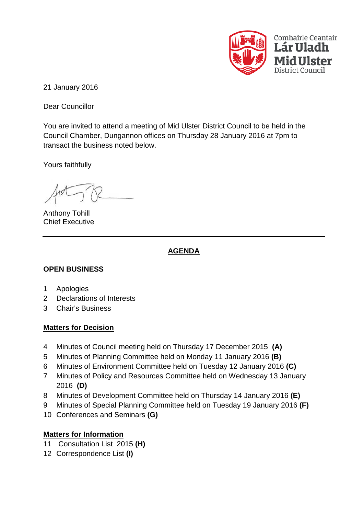

21 January 2016

Dear Councillor

You are invited to attend a meeting of Mid Ulster District Council to be held in the Council Chamber, Dungannon offices on Thursday 28 January 2016 at 7pm to transact the business noted below.

Yours faithfully

Anthony Tohill Chief Executive

# **AGENDA**

## **OPEN BUSINESS**

- 1 Apologies
- 2 Declarations of Interests
- 3 Chair's Business

## **Matters for Decision**

- 4 Minutes of Council meeting held on Thursday 17 December 2015 **(A)**
- 5 Minutes of Planning Committee held on Monday 11 January 2016 **(B)**
- 6 Minutes of Environment Committee held on Tuesday 12 January 2016 **(C)**
- 7 Minutes of Policy and Resources Committee held on Wednesday 13 January 2016 **(D)**
- 8 Minutes of Development Committee held on Thursday 14 January 2016 **(E)**
- 9 Minutes of Special Planning Committee held on Tuesday 19 January 2016 **(F)**
- 10 Conferences and Seminars **(G)**

## **Matters for Information**

- 11 Consultation List 2015 **(H)**
- 12 Correspondence List **(I)**